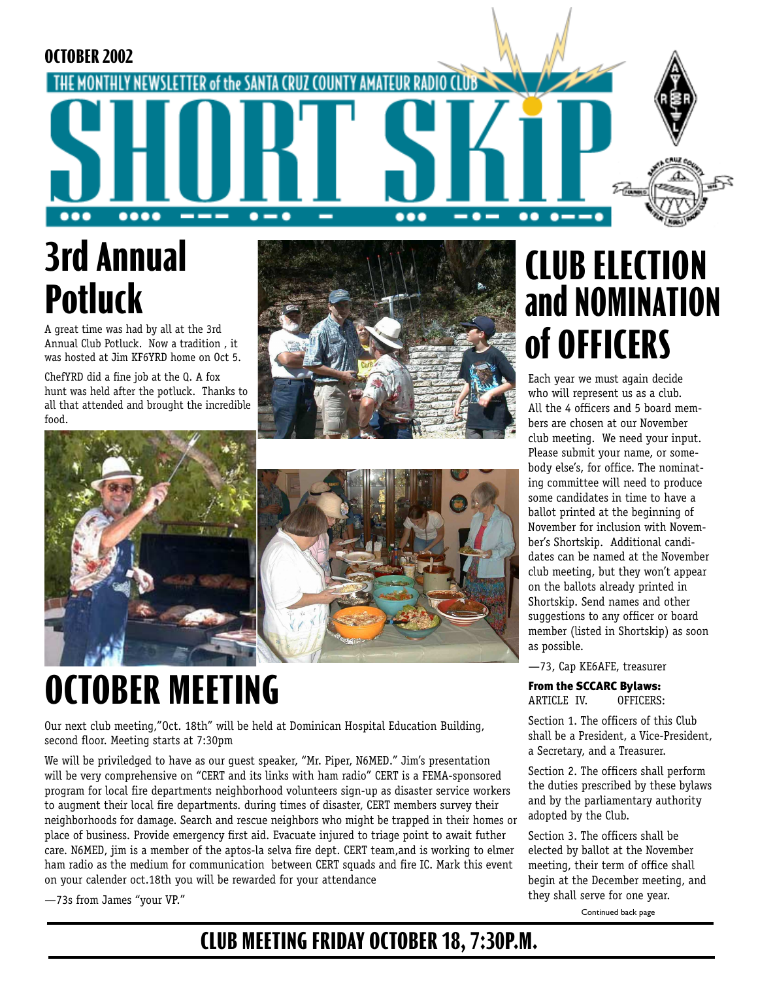**OCTOBER 2002** THE MONTHLY NEWSLETTER of the SANTA CRUZ COUNTY AMATEUR --- $\bullet-\bullet$ ... ..  $\bullet$   $\bullet$ 

# **3rd Annual Potluck**

A great time was had by all at the 3rd Annual Club Potluck. Now a tradition , it was hosted at Jim KF6YRD home on Oct 5.

ChefYRD did a fine job at the Q. A fox hunt was held after the potluck. Thanks to all that attended and brought the incredible food.







# **OCTOBER MEETING**

Our next club meeting,"Oct. 18th" will be held at Dominican Hospital Education Building, second floor. Meeting starts at 7:30pm

We will be priviledged to have as our guest speaker, "Mr. Piper, N6MED." Jim's presentation will be very comprehensive on "CERT and its links with ham radio" CERT is a FEMA-sponsored program for local fire departments neighborhood volunteers sign-up as disaster service workers to augment their local fire departments. during times of disaster, CERT members survey their neighborhoods for damage. Search and rescue neighbors who might be trapped in their homes or place of business. Provide emergency first aid. Evacuate injured to triage point to await futher care. N6MED, jim is a member of the aptos-la selva fire dept. CERT team,and is working to elmer ham radio as the medium for communication between CERT squads and fire IC. Mark this event on your calender oct.18th you will be rewarded for your attendance

—73s from James "your VP."

## **CLUB ELECTION and NOMINATION of OFFICERS**

Each year we must again decide who will represent us as a club. All the 4 officers and 5 board members are chosen at our November club meeting. We need your input. Please submit your name, or somebody else's, for office. The nominating committee will need to produce some candidates in time to have a ballot printed at the beginning of November for inclusion with November's Shortskip. Additional candidates can be named at the November club meeting, but they won't appear on the ballots already printed in Shortskip. Send names and other suggestions to any officer or board member (listed in Shortskip) as soon as possible.

—73, Cap KE6AFE, treasurer

From the SCCARC Bylaws: ARTICLE IV. OFFICERS:

Section 1. The officers of this Club shall be a President, a Vice-President, a Secretary, and a Treasurer.

Section 2. The officers shall perform the duties prescribed by these bylaws and by the parliamentary authority adopted by the Club.

Section 3. The officers shall be elected by ballot at the November meeting, their term of office shall begin at the December meeting, and they shall serve for one year.

Continued back page

### **CLUB MEETING FRIDAY OCTOBER 18, 7:30P.M.**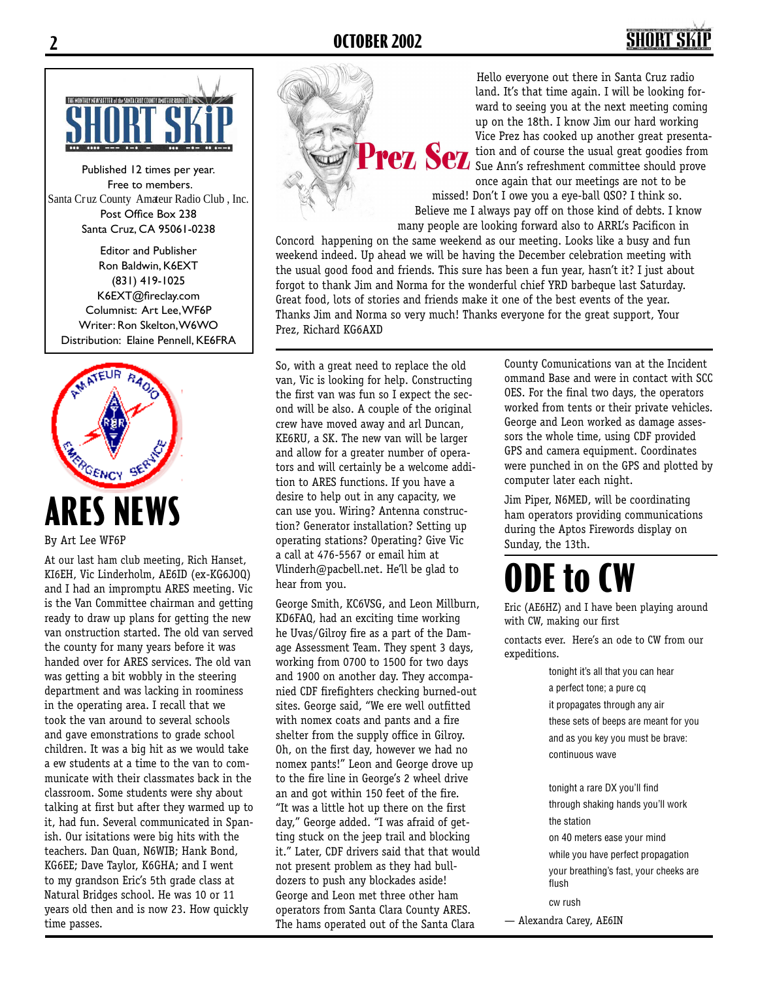

Published 12 times per year. Free to members. Santa Cruz County Amateur Radio Club , Inc. Post Office Box 238 Santa Cruz, CA 95061-0238

Editor and Publisher Ron Baldwin, K6EXT (831) 419-1025 K6EXT@fireclay.com Columnist: Art Lee, WF6P Writer: Ron Skelton, W6WO Distribution: Elaine Pennell, KE6FRA



By Art Lee WF6P

At our last ham club meeting, Rich Hanset, KI6EH, Vic Linderholm, AE6ID (ex-KG6JOQ) and I had an impromptu ARES meeting. Vic is the Van Committee chairman and getting ready to draw up plans for getting the new van onstruction started. The old van served the county for many years before it was handed over for ARES services. The old van was getting a bit wobbly in the steering department and was lacking in roominess in the operating area. I recall that we took the van around to several schools and gave emonstrations to grade school children. It was a big hit as we would take a ew students at a time to the van to communicate with their classmates back in the classroom. Some students were shy about talking at first but after they warmed up to it, had fun. Several communicated in Spanish. Our isitations were big hits with the teachers. Dan Quan, N6WIB; Hank Bond, KG6EE; Dave Taylor, K6GHA; and I went to my grandson Eric's 5th grade class at Natural Bridges school. He was 10 or 11 years old then and is now 23. How quickly time passes.

Hello everyone out there in Santa Cruz radio land. It's that time again. I will be looking forward to seeing you at the next meeting coming up on the 18th. I know Jim our hard working Vice Prez has cooked up another great presentation and of course the usual great goodies from tion and of course the usual great goodies from Sue Ann's refreshment committee should prove once again that our meetings are not to be missed! Don't I owe you a eye-ball QSO? I think so.

Believe me I always pay off on those kind of debts. I know many people are looking forward also to ARRL's Pacificon in

Concord happening on the same weekend as our meeting. Looks like a busy and fun weekend indeed. Up ahead we will be having the December celebration meeting with the usual good food and friends. This sure has been a fun year, hasn't it? I just about forgot to thank Jim and Norma for the wonderful chief YRD barbeque last Saturday. Great food, lots of stories and friends make it one of the best events of the year. Thanks Jim and Norma so very much! Thanks everyone for the great support, Your Prez, Richard KG6AXD

So, with a great need to replace the old van, Vic is looking for help. Constructing the first van was fun so I expect the second will be also. A couple of the original crew have moved away and arl Duncan, KE6RU, a SK. The new van will be larger and allow for a greater number of operators and will certainly be a welcome addition to ARES functions. If you have a desire to help out in any capacity, we can use you. Wiring? Antenna construction? Generator installation? Setting up operating stations? Operating? Give Vic a call at 476-5567 or email him at Vlinderh@pacbell.net. He'll be glad to hear from you.

George Smith, KC6VSG, and Leon Millburn, KD6FAQ, had an exciting time working he Uvas/Gilroy fire as a part of the Damage Assessment Team. They spent 3 days, working from 0700 to 1500 for two days and 1900 on another day. They accompanied CDF firefighters checking burned-out sites. George said, "We ere well outfitted with nomex coats and pants and a fire shelter from the supply office in Gilroy. Oh, on the first day, however we had no nomex pants!" Leon and George drove up to the fire line in George's 2 wheel drive an and got within 150 feet of the fire. "It was a little hot up there on the first day," George added. "I was afraid of getting stuck on the jeep trail and blocking it." Later, CDF drivers said that that would not present problem as they had bulldozers to push any blockades aside! George and Leon met three other ham operators from Santa Clara County ARES. The hams operated out of the Santa Clara

County Comunications van at the Incident ommand Base and were in contact with SCC OES. For the final two days, the operators worked from tents or their private vehicles. George and Leon worked as damage assessors the whole time, using CDF provided GPS and camera equipment. Coordinates were punched in on the GPS and plotted by computer later each night.

Jim Piper, N6MED, will be coordinating ham operators providing communications during the Aptos Firewords display on Sunday, the 13th.

# **ODE to CW**

Eric (AE6HZ) and I have been playing around with CW, making our first

contacts ever. Here's an ode to CW from our expeditions.

> tonight it's all that you can hear a perfect tone; a pure cq it propagates through any air these sets of beeps are meant for you and as you key you must be brave: continuous wave

tonight a rare DX you'll find through shaking hands you'll work the station

on 40 meters ease your mind while you have perfect propagation your breathing's fast, your cheeks are flush

cw rush — Alexandra Carey, AE6IN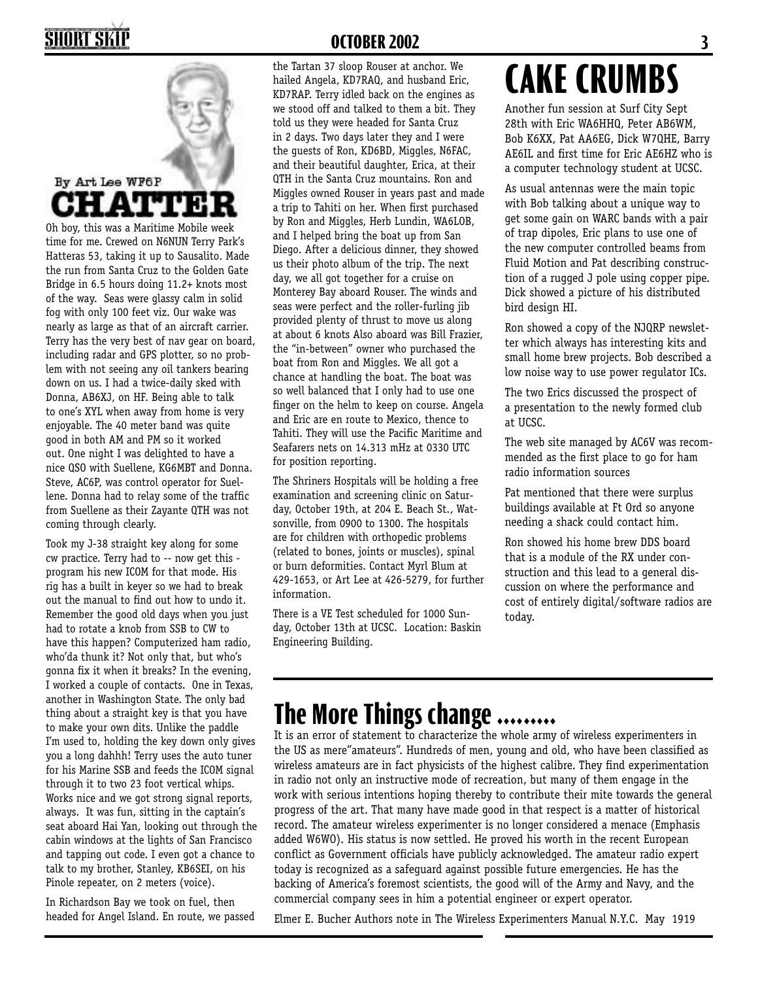### **SHORT SKI**

#### By Art Lee WF6P **ATT** З

Oh boy, this was a Maritime Mobile week time for me. Crewed on N6NUN Terry Park's Hatteras 53, taking it up to Sausalito. Made the run from Santa Cruz to the Golden Gate Bridge in 6.5 hours doing 11.2+ knots most of the way. Seas were glassy calm in solid fog with only 100 feet viz. Our wake was nearly as large as that of an aircraft carrier. Terry has the very best of nav gear on board, including radar and GPS plotter, so no problem with not seeing any oil tankers bearing down on us. I had a twice-daily sked with Donna, AB6XJ, on HF. Being able to talk to one's XYL when away from home is very enjoyable. The 40 meter band was quite good in both AM and PM so it worked out. One night I was delighted to have a nice QSO with Suellene, KG6MBT and Donna. Steve, AC6P, was control operator for Suellene. Donna had to relay some of the traffic from Suellene as their Zayante QTH was not coming through clearly.

Took my J-38 straight key along for some cw practice. Terry had to -- now get this program his new ICOM for that mode. His rig has a built in keyer so we had to break out the manual to find out how to undo it. Remember the good old days when you just had to rotate a knob from SSB to CW to have this happen? Computerized ham radio, who'da thunk it? Not only that, but who's gonna fix it when it breaks? In the evening, I worked a couple of contacts. One in Texas, another in Washington State. The only bad thing about a straight key is that you have to make your own dits. Unlike the paddle I'm used to, holding the key down only gives you a long dahhh! Terry uses the auto tuner for his Marine SSB and feeds the ICOM signal through it to two 23 foot vertical whips. Works nice and we got strong signal reports, always. It was fun, sitting in the captain's seat aboard Hai Yan, looking out through the cabin windows at the lights of San Francisco and tapping out code. I even got a chance to talk to my brother, Stanley, KB6SEI, on his Pinole repeater, on 2 meters (voice).

In Richardson Bay we took on fuel, then headed for Angel Island. En route, we passed

#### **OCTOBER 2002 3**

the Tartan 37 sloop Rouser at anchor. We hailed Angela, KD7RAQ, and husband Eric, KD7RAP. Terry idled back on the engines as we stood off and talked to them a bit. They told us they were headed for Santa Cruz in 2 days. Two days later they and I were the guests of Ron, KD6BD, Miggles, N6FAC, and their beautiful daughter, Erica, at their QTH in the Santa Cruz mountains. Ron and Miggles owned Rouser in years past and made a trip to Tahiti on her. When first purchased by Ron and Miggles, Herb Lundin, WA6LOB, and I helped bring the boat up from San Diego. After a delicious dinner, they showed us their photo album of the trip. The next day, we all got together for a cruise on Monterey Bay aboard Rouser. The winds and seas were perfect and the roller-furling jib provided plenty of thrust to move us along at about 6 knots Also aboard was Bill Frazier, the "in-between" owner who purchased the boat from Ron and Miggles. We all got a chance at handling the boat. The boat was so well balanced that I only had to use one finger on the helm to keep on course. Angela and Eric are en route to Mexico, thence to Tahiti. They will use the Pacific Maritime and Seafarers nets on 14.313 mHz at 0330 UTC for position reporting.

The Shriners Hospitals will be holding a free examination and screening clinic on Saturday, October 19th, at 204 E. Beach St., Watsonville, from 0900 to 1300. The hospitals are for children with orthopedic problems (related to bones, joints or muscles), spinal or burn deformities. Contact Myrl Blum at 429-1653, or Art Lee at 426-5279, for further information.

There is a VE Test scheduled for 1000 Sunday, October 13th at UCSC. Location: Baskin Engineering Building.

# **CAKE CRUMBS**

Another fun session at Surf City Sept 28th with Eric WA6HHQ, Peter AB6WM, Bob K6XX, Pat AA6EG, Dick W7QHE, Barry AE6IL and first time for Eric AE6HZ who is a computer technology student at UCSC.

As usual antennas were the main topic with Bob talking about a unique way to get some gain on WARC bands with a pair of trap dipoles, Eric plans to use one of the new computer controlled beams from Fluid Motion and Pat describing construction of a rugged J pole using copper pipe. Dick showed a picture of his distributed bird design HI.

Ron showed a copy of the NJQRP newsletter which always has interesting kits and small home brew projects. Bob described a low noise way to use power regulator ICs.

The two Erics discussed the prospect of a presentation to the newly formed club at UCSC.

The web site managed by AC6V was recommended as the first place to go for ham radio information sources

Pat mentioned that there were surplus buildings available at Ft Ord so anyone needing a shack could contact him.

Ron showed his home brew DDS board that is a module of the RX under construction and this lead to a general discussion on where the performance and cost of entirely digital/software radios are today.

### **The More Things change .........**

It is an error of statement to characterize the whole army of wireless experimenters in the US as mere"amateurs". Hundreds of men, young and old, who have been classified as wireless amateurs are in fact physicists of the highest calibre. They find experimentation in radio not only an instructive mode of recreation, but many of them engage in the work with serious intentions hoping thereby to contribute their mite towards the general progress of the art. That many have made good in that respect is a matter of historical record. The amateur wireless experimenter is no longer considered a menace (Emphasis added W6WO). His status is now settled. He proved his worth in the recent European conflict as Government officials have publicly acknowledged. The amateur radio expert today is recognized as a safeguard against possible future emergencies. He has the backing of America's foremost scientists, the good will of the Army and Navy, and the commercial company sees in him a potential engineer or expert operator.

Elmer E. Bucher Authors note in The Wireless Experimenters Manual N.Y.C. May 1919